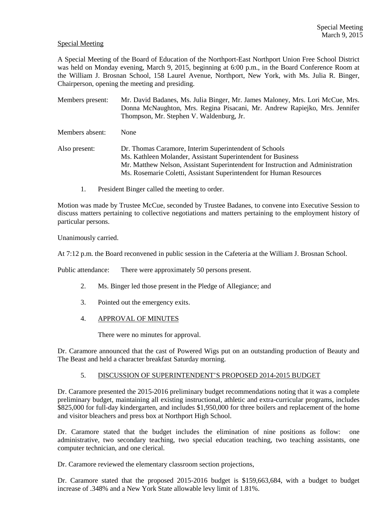### Special Meeting

A Special Meeting of the Board of Education of the Northport-East Northport Union Free School District was held on Monday evening, March 9, 2015, beginning at 6:00 p.m., in the Board Conference Room at the William J. Brosnan School, 158 Laurel Avenue, Northport, New York, with Ms. Julia R. Binger, Chairperson, opening the meeting and presiding.

Members present: Mr. David Badanes, Ms. Julia Binger, Mr. James Maloney, Mrs. Lori McCue, Mrs. Donna McNaughton, Mrs. Regina Pisacani, Mr. Andrew Rapiejko, Mrs. Jennifer Thompson, Mr. Stephen V. Waldenburg, Jr.

Members absent: None

- Also present: Dr. Thomas Caramore, Interim Superintendent of Schools Ms. Kathleen Molander, Assistant Superintendent for Business Mr. Matthew Nelson, Assistant Superintendent for Instruction and Administration Ms. Rosemarie Coletti, Assistant Superintendent for Human Resources
	- 1. President Binger called the meeting to order.

Motion was made by Trustee McCue, seconded by Trustee Badanes, to convene into Executive Session to discuss matters pertaining to collective negotiations and matters pertaining to the employment history of particular persons.

Unanimously carried.

At 7:12 p.m. the Board reconvened in public session in the Cafeteria at the William J. Brosnan School.

Public attendance: There were approximately 50 persons present.

- 2. Ms. Binger led those present in the Pledge of Allegiance; and
- 3. Pointed out the emergency exits.
- 4. APPROVAL OF MINUTES

There were no minutes for approval.

Dr. Caramore announced that the cast of Powered Wigs put on an outstanding production of Beauty and The Beast and held a character breakfast Saturday morning.

## 5. DISCUSSION OF SUPERINTENDENT'S PROPOSED 2014-2015 BUDGET

Dr. Caramore presented the 2015-2016 preliminary budget recommendations noting that it was a complete preliminary budget, maintaining all existing instructional, athletic and extra-curricular programs, includes \$825,000 for full-day kindergarten, and includes \$1,950,000 for three boilers and replacement of the home and visitor bleachers and press box at Northport High School.

Dr. Caramore stated that the budget includes the elimination of nine positions as follow: one administrative, two secondary teaching, two special education teaching, two teaching assistants, one computer technician, and one clerical.

Dr. Caramore reviewed the elementary classroom section projections,

Dr. Caramore stated that the proposed 2015-2016 budget is \$159,663,684, with a budget to budget increase of .348% and a New York State allowable levy limit of 1.81%.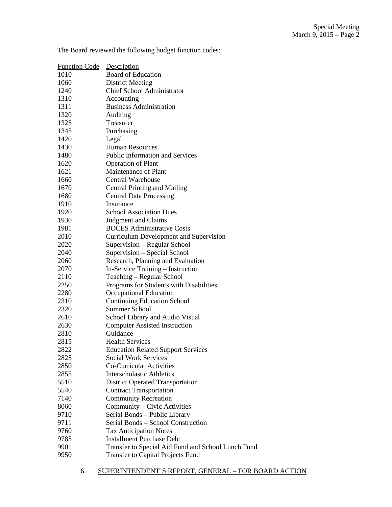| <b>Function Code</b> | Description                                        |
|----------------------|----------------------------------------------------|
| 1010                 | <b>Board of Education</b>                          |
| 1060                 | <b>District Meeting</b>                            |
| 1240                 | <b>Chief School Administrator</b>                  |
| 1310                 | Accounting                                         |
| 1311                 | <b>Business Administration</b>                     |
| 1320                 | Auditing                                           |
| 1325                 | Treasurer                                          |
| 1345                 | Purchasing                                         |
| 1420                 | Legal                                              |
| 1430                 | <b>Human Resources</b>                             |
| 1480                 | <b>Public Information and Services</b>             |
| 1620                 | <b>Operation of Plant</b>                          |
| 1621                 | Maintenance of Plant                               |
| 1660                 | Central Warehouse                                  |
| 1670                 | <b>Central Printing and Mailing</b>                |
| 1680                 | <b>Central Data Processing</b>                     |
| 1910                 | Insurance                                          |
| 1920                 | <b>School Association Dues</b>                     |
| 1930                 | <b>Judgment and Claims</b>                         |
| 1981                 | <b>BOCES</b> Administrative Costs                  |
| 2010                 | <b>Curriculum Development and Supervision</b>      |
| 2020                 | Supervision – Regular School                       |
| 2040                 | Supervision - Special School                       |
| 2060                 | Research, Planning and Evaluation                  |
| 2070                 | In-Service Training - Instruction                  |
| 2110                 | Teaching - Regular School                          |
| 2250                 | Programs for Students with Disabilities            |
| 2280                 | Occupational Education                             |
| 2310                 | <b>Continuing Education School</b>                 |
| 2320                 | <b>Summer School</b>                               |
| 2610                 | School Library and Audio Visual                    |
| 2630                 | <b>Computer Assisted Instruction</b>               |
| 2810                 | Guidance                                           |
| 2815                 | <b>Health Services</b>                             |
| 2822                 | <b>Education Related Support Services</b>          |
| 2825                 | <b>Social Work Services</b>                        |
| 2850                 | <b>Co-Curricular Activities</b>                    |
| 2855                 | <b>Interscholastic Athletics</b>                   |
| 5510                 | <b>District Operated Transportation</b>            |
| 5540                 | <b>Contract Transportation</b>                     |
| 7140                 | <b>Community Recreation</b>                        |
| 8060                 | Community - Civic Activities                       |
| 9710                 | Serial Bonds - Public Library                      |
| 9711                 | Serial Bonds - School Construction                 |
| 9760                 | <b>Tax Anticipation Notes</b>                      |
| 9785                 | <b>Installment Purchase Debt</b>                   |
| 9901                 | Transfer to Special Aid Fund and School Lunch Fund |
| 9950                 | <b>Transfer to Capital Projects Fund</b>           |

The Board reviewed the following budget function codes: